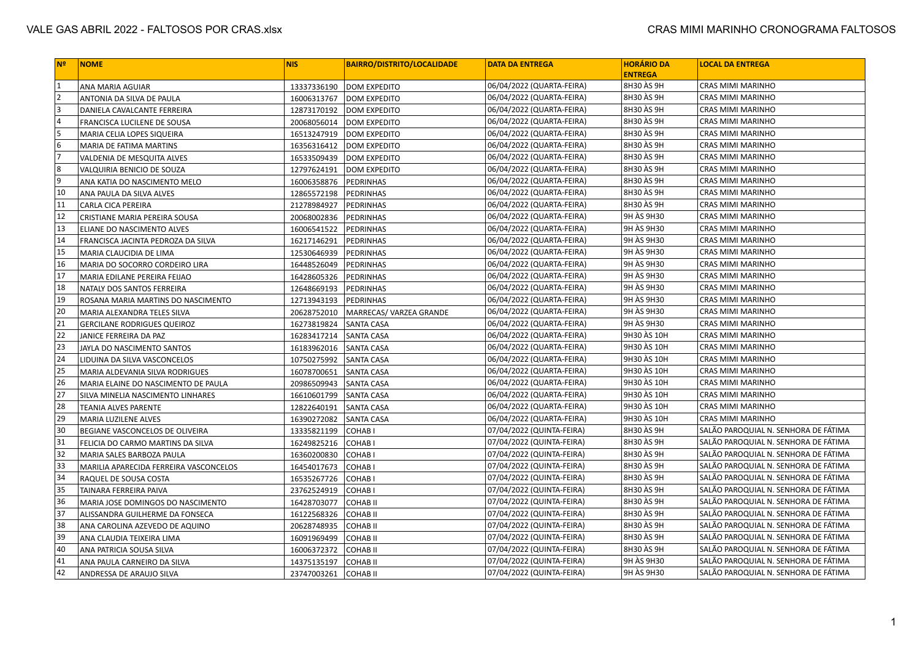| N <sup>2</sup>  | <b>NOME</b>                            | <b>NIS</b>  | <b>BAIRRO/DISTRITO/LOCALIDADE</b> | <b>DATA DA ENTREGA</b>    | <b>HORÁRIO DA</b><br><b>ENTREGA</b> | <b>LOCAL DA ENTREGA</b>              |
|-----------------|----------------------------------------|-------------|-----------------------------------|---------------------------|-------------------------------------|--------------------------------------|
| 1               | ANA MARIA AGUIAR                       | 13337336190 | <b>DOM EXPEDITO</b>               | 06/04/2022 (QUARTA-FEIRA) | 8H30 ÀS 9H                          | <b>CRAS MIMI MARINHO</b>             |
| $\vert$ 2       | ANTONIA DA SILVA DE PAULA              | 16006313767 | <b>DOM EXPEDITO</b>               | 06/04/2022 (QUARTA-FEIRA) | 8H30 ÀS 9H                          | CRAS MIMI MARINHO                    |
| $\overline{3}$  | DANIELA CAVALCANTE FERREIRA            | 12873170192 | <b>DOM EXPEDITO</b>               | 06/04/2022 (QUARTA-FEIRA) | 8H30 ÀS 9H                          | CRAS MIMI MARINHO                    |
| 4               | FRANCISCA LUCILENE DE SOUSA            | 20068056014 | <b>DOM EXPEDITO</b>               | 06/04/2022 (QUARTA-FEIRA) | 8H30 ÀS 9H                          | CRAS MIMI MARINHO                    |
| 5               | MARIA CELIA LOPES SIQUEIRA             | 16513247919 | DOM EXPEDITO                      | 06/04/2022 (QUARTA-FEIRA) | 8H30 ÀS 9H                          | CRAS MIMI MARINHO                    |
| $\overline{6}$  | MARIA DE FATIMA MARTINS                | 16356316412 | <b>DOM EXPEDITO</b>               | 06/04/2022 (QUARTA-FEIRA) | 8H30 ÀS 9H                          | CRAS MIMI MARINHO                    |
| 7               | VALDENIA DE MESQUITA ALVES             | 16533509439 | <b>DOM EXPEDITO</b>               | 06/04/2022 (QUARTA-FEIRA) | 8H30 ÀS 9H                          | CRAS MIMI MARINHO                    |
| 8               | VALQUIRIA BENICIO DE SOUZA             | 12797624191 | <b>DOM EXPEDITO</b>               | 06/04/2022 (QUARTA-FEIRA) | 8H30 ÀS 9H                          | CRAS MIMI MARINHO                    |
| 9               | ANA KATIA DO NASCIMENTO MELO           | 16006358876 | PEDRINHAS                         | 06/04/2022 (QUARTA-FEIRA) | 8H30 ÀS 9H                          | CRAS MIMI MARINHO                    |
| 10              | ANA PAULA DA SILVA ALVES               | 12865572198 | PEDRINHAS                         | 06/04/2022 (QUARTA-FEIRA) | 8H30 ÀS 9H                          | CRAS MIMI MARINHO                    |
| 11              | <b>CARLA CICA PEREIRA</b>              | 21278984927 | PEDRINHAS                         | 06/04/2022 (QUARTA-FEIRA) | 8H30 AS 9H                          | CRAS MIMI MARINHO                    |
| 12              | CRISTIANE MARIA PEREIRA SOUSA          | 20068002836 | PEDRINHAS                         | 06/04/2022 (QUARTA-FEIRA) | 9H ÀS 9H30                          | CRAS MIMI MARINHO                    |
| 13              | <b>ELIANE DO NASCIMENTO ALVES</b>      | 16006541522 | PEDRINHAS                         | 06/04/2022 (QUARTA-FEIRA) | 9H ÀS 9H30                          | CRAS MIMI MARINHO                    |
| 14              | FRANCISCA JACINTA PEDROZA DA SILVA     | 16217146291 | PEDRINHAS                         | 06/04/2022 (QUARTA-FEIRA) | 9H ÀS 9H30                          | CRAS MIMI MARINHO                    |
| 15              | MARIA CLAUCIDIA DE LIMA                | 12530646939 | PEDRINHAS                         | 06/04/2022 (QUARTA-FEIRA) | 9H ÀS 9H30                          | CRAS MIMI MARINHO                    |
| 16              | MARIA DO SOCORRO CORDEIRO LIRA         | 16448526049 | PEDRINHAS                         | 06/04/2022 (QUARTA-FEIRA) | 9H ÀS 9H30                          | CRAS MIMI MARINHO                    |
| 17              | MARIA EDILANE PEREIRA FEIJAO           | 16428605326 | PEDRINHAS                         | 06/04/2022 (QUARTA-FEIRA) | 9H ÀS 9H30                          | CRAS MIMI MARINHO                    |
| 18              | NATALY DOS SANTOS FERREIRA             | 12648669193 | PEDRINHAS                         | 06/04/2022 (QUARTA-FEIRA) | 9H ÀS 9H30                          | CRAS MIMI MARINHO                    |
| 19              | ROSANA MARIA MARTINS DO NASCIMENTO     | 12713943193 | PEDRINHAS                         | 06/04/2022 (QUARTA-FEIRA) | 9H ÀS 9H30                          | CRAS MIMI MARINHO                    |
| 20              | MARIA ALEXANDRA TELES SILVA            | 20628752010 | MARRECAS/ VARZEA GRANDE           | 06/04/2022 (QUARTA-FEIRA) | 9H ÀS 9H30                          | CRAS MIMI MARINHO                    |
| 21              | <b>GERCILANE RODRIGUES QUEIROZ</b>     | 16273819824 | <b>SANTA CASA</b>                 | 06/04/2022 (QUARTA-FEIRA) | 9H ÀS 9H30                          | CRAS MIMI MARINHO                    |
| 22              | JANICE FERREIRA DA PAZ                 | 16283417214 | <b>SANTA CASA</b>                 | 06/04/2022 (QUARTA-FEIRA) | 9H30 ÀS 10H                         | CRAS MIMI MARINHO                    |
| 23              | JAYLA DO NASCIMENTO SANTOS             | 16183962016 | <b>SANTA CASA</b>                 | 06/04/2022 (QUARTA-FEIRA) | 9H30 AS 10H                         | CRAS MIMI MARINHO                    |
| $\overline{24}$ | LIDUINA DA SILVA VASCONCELOS           | 10750275992 | <b>SANTA CASA</b>                 | 06/04/2022 (QUARTA-FEIRA) | 9H30 AS 10H                         | CRAS MIMI MARINHO                    |
| 25              | MARIA ALDEVANIA SILVA RODRIGUES        | 16078700651 | <b>SANTA CASA</b>                 | 06/04/2022 (QUARTA-FEIRA) | 9H30 ÀS 10H                         | CRAS MIMI MARINHO                    |
| 26              | MARIA ELAINE DO NASCIMENTO DE PAULA    | 20986509943 | <b>SANTA CASA</b>                 | 06/04/2022 (QUARTA-FEIRA) | 9H30 ÀS 10H                         | CRAS MIMI MARINHO                    |
| 27              | SILVA MINELIA NASCIMENTO LINHARES      | 16610601799 | <b>SANTA CASA</b>                 | 06/04/2022 (QUARTA-FEIRA) | 9H30 ÀS 10H                         | CRAS MIMI MARINHO                    |
| 28              | <b>TEANIA ALVES PARENTE</b>            | 12822640191 | <b>SANTA CASA</b>                 | 06/04/2022 (QUARTA-FEIRA) | 9H30 ÀS 10H                         | CRAS MIMI MARINHO                    |
| 29              | MARIA LUZILENE ALVES                   | 16390272082 | <b>SANTA CASA</b>                 | 06/04/2022 (QUARTA-FEIRA) | 9H30 ÀS 10H                         | CRAS MIMI MARINHO                    |
| 30              | BEGIANE VASCONCELOS DE OLIVEIRA        | 13335821199 | COHAB I                           | 07/04/2022 (QUINTA-FEIRA) | 8H30 ÀS 9H                          | SALÃO PAROQUIAL N. SENHORA DE FÁTIMA |
| 31              | FELICIA DO CARMO MARTINS DA SILVA      | 16249825216 | COHAB I                           | 07/04/2022 (QUINTA-FEIRA) | 8H30 ÀS 9H                          | SALÃO PAROQUIAL N. SENHORA DE FÁTIMA |
| 32              | MARIA SALES BARBOZA PAULA              | 16360200830 | COHAB I                           | 07/04/2022 (QUINTA-FEIRA) | 8H30 ÀS 9H                          | SALÃO PAROQUIAL N. SENHORA DE FÁTIMA |
| 33              | MARILIA APARECIDA FERREIRA VASCONCELOS | 16454017673 | COHAB I                           | 07/04/2022 (QUINTA-FEIRA) | 8H30 ÀS 9H                          | SALÃO PAROQUIAL N. SENHORA DE FÁTIMA |
| 34              | RAQUEL DE SOUSA COSTA                  | 16535267726 | COHAB I                           | 07/04/2022 (QUINTA-FEIRA) | 8H30 ÀS 9H                          | SALÃO PAROQUIAL N. SENHORA DE FÁTIMA |
| 35              | TAINARA FERREIRA PAIVA                 | 23762524919 | COHAB I                           | 07/04/2022 (QUINTA-FEIRA) | 8H30 ÀS 9H                          | SALÃO PAROQUIAL N. SENHORA DE FÁTIMA |
| 36              | MARIA JOSE DOMINGOS DO NASCIMENTO      | 16428703077 | COHAB II                          | 07/04/2022 (QUINTA-FEIRA) | 8H30 ÀS 9H                          | SALÃO PAROQUIAL N. SENHORA DE FÁTIMA |
| $\overline{37}$ | ALISSANDRA GUILHERME DA FONSECA        | 16122568326 | COHAB II                          | 07/04/2022 (QUINTA-FEIRA) | 8H30 ÀS 9H                          | SALÃO PAROQUIAL N. SENHORA DE FÁTIMA |
| 38              | ANA CAROLINA AZEVEDO DE AQUINO         | 20628748935 | COHAB II                          | 07/04/2022 (QUINTA-FEIRA) | 8H30 ÀS 9H                          | SALÃO PAROQUIAL N. SENHORA DE FÁTIMA |
| 39              | ANA CLAUDIA TEIXEIRA LIMA              | 16091969499 | COHAB II                          | 07/04/2022 (QUINTA-FEIRA) | 8H30 ÀS 9H                          | SALÃO PAROQUIAL N. SENHORA DE FÁTIMA |
| 40              | ANA PATRICIA SOUSA SILVA               | 16006372372 | COHAB II                          | 07/04/2022 (QUINTA-FEIRA) | 8H30 AS 9H                          | SALÃO PAROQUIAL N. SENHORA DE FÁTIMA |
| 41              | ANA PAULA CARNEIRO DA SILVA            | 14375135197 | COHAB II                          | 07/04/2022 (QUINTA-FEIRA) | 9H ÀS 9H30                          | SALÃO PAROQUIAL N. SENHORA DE FÁTIMA |
| 42              | ANDRESSA DE ARAUJO SILVA               | 23747003261 | COHAB <sub>II</sub>               | 07/04/2022 (QUINTA-FEIRA) | 9H ÀS 9H30                          | SALÃO PAROQUIAL N. SENHORA DE FÁTIMA |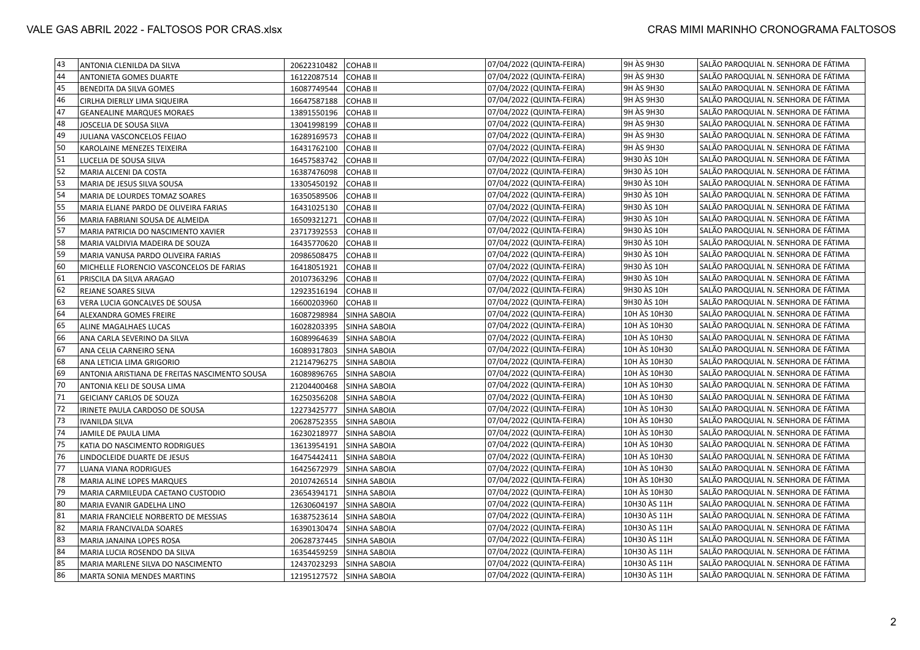| 43 | ANTONIA CLENILDA DA SILVA                     | 20622310482 | <b>COHABII</b>      | 07/04/2022 (QUINTA-FEIRA) | 9H ÀS 9H30   | SALÃO PAROQUIAL N. SENHORA DE FÁTIMA |
|----|-----------------------------------------------|-------------|---------------------|---------------------------|--------------|--------------------------------------|
| 44 | ANTONIETA GOMES DUARTE                        | 16122087514 | <b>COHABII</b>      | 07/04/2022 (QUINTA-FEIRA) | 9H ÀS 9H30   | SALÃO PAROQUIAL N. SENHORA DE FÁTIMA |
| 45 | BENEDITA DA SILVA GOMES                       | 16087749544 | <b>COHABII</b>      | 07/04/2022 (QUINTA-FEIRA) | 9H ÀS 9H30   | SALÃO PAROQUIAL N. SENHORA DE FÁTIMA |
| 46 | CIRLHA DIERLLY LIMA SIQUEIRA                  | 16647587188 | <b>COHAB II</b>     | 07/04/2022 (QUINTA-FEIRA) | 9H ÀS 9H30   | SALÃO PAROQUIAL N. SENHORA DE FÁTIMA |
| 47 | <b>GEANEALINE MARQUES MORAES</b>              | 13891550196 | <b>COHABII</b>      | 07/04/2022 (QUINTA-FEIRA) | 9H ÀS 9H30   | SALÃO PAROQUIAL N. SENHORA DE FÁTIMA |
| 48 | JOSCELIA DE SOUSA SILVA                       | 13041998199 | <b>COHABII</b>      | 07/04/2022 (QUINTA-FEIRA) | 9H ÀS 9H30   | SALÃO PAROQUIAL N. SENHORA DE FÁTIMA |
| 49 | JULIANA VASCONCELOS FEIJAO                    | 16289169573 | <b>COHABII</b>      | 07/04/2022 (QUINTA-FEIRA) | 9H ÀS 9H30   | SALÃO PAROQUIAL N. SENHORA DE FÁTIMA |
| 50 | KAROLAINE MENEZES TEIXEIRA                    | 16431762100 | <b>COHABII</b>      | 07/04/2022 (QUINTA-FEIRA) | 9H ÀS 9H30   | SALÃO PAROQUIAL N. SENHORA DE FÁTIMA |
| 51 | LUCELIA DE SOUSA SILVA                        | 16457583742 | COHAB II            | 07/04/2022 (QUINTA-FEIRA) | 9H30 AS 10H  | SALÃO PAROQUIAL N. SENHORA DE FÁTIMA |
| 52 | MARIA ALCENI DA COSTA                         | 16387476098 | <b>COHABII</b>      | 07/04/2022 (QUINTA-FEIRA) | 9H30 AS 10H  | SALÃO PAROQUIAL N. SENHORA DE FÁTIMA |
| 53 | MARIA DE JESUS SILVA SOUSA                    | 13305450192 | <b>COHAB II</b>     | 07/04/2022 (QUINTA-FEIRA) | 9H30 AS 10H  | SALÃO PAROQUIAL N. SENHORA DE FÁTIMA |
| 54 | MARIA DE LOURDES TOMAZ SOARES                 | 16350589506 | <b>COHABII</b>      | 07/04/2022 (QUINTA-FEIRA) | 9H30 AS 10H  | SALÃO PAROQUIAL N. SENHORA DE FÁTIMA |
| 55 | MARIA ELIANE PARDO DE OLIVEIRA FARIAS         | 16431025130 | COHAB II            | 07/04/2022 (QUINTA-FEIRA) | 9H30 AS 10H  | SALÃO PAROQUIAL N. SENHORA DE FÁTIMA |
| 56 | MARIA FABRIANI SOUSA DE ALMEIDA               | 16509321271 | COHAB II            | 07/04/2022 (QUINTA-FEIRA) | 9H30 AS 10H  | SALÃO PAROQUIAL N. SENHORA DE FÁTIMA |
| 57 | MARIA PATRICIA DO NASCIMENTO XAVIER           | 23717392553 | COHAB II            | 07/04/2022 (QUINTA-FEIRA) | 9H30 AS 10H  | SALÃO PAROQUIAL N. SENHORA DE FÁTIMA |
| 58 | MARIA VALDIVIA MADEIRA DE SOUZA               | 16435770620 | <b>COHABII</b>      | 07/04/2022 (QUINTA-FEIRA) | 9H30 AS 10H  | SALÃO PAROQUIAL N. SENHORA DE FÁTIMA |
| 59 | MARIA VANUSA PARDO OLIVEIRA FARIAS            | 20986508475 | <b>COHABII</b>      | 07/04/2022 (QUINTA-FEIRA) | 9H30 AS 10H  | SALÃO PAROQUIAL N. SENHORA DE FÁTIMA |
| 60 | MICHELLE FLORENCIO VASCONCELOS DE FARIAS      | 16418051921 | COHAB II            | 07/04/2022 (QUINTA-FEIRA) | 9H30 AS 10H  | SALÃO PAROQUIAL N. SENHORA DE FÁTIMA |
| 61 | PRISCILA DA SILVA ARAGAO                      | 20107363296 | COHAB II            | 07/04/2022 (QUINTA-FEIRA) | 9H30 AS 10H  | SALÃO PAROQUIAL N. SENHORA DE FÁTIMA |
| 62 | REJANE SOARES SILVA                           | 12923516194 | COHAB II            | 07/04/2022 (QUINTA-FEIRA) | 9H30 AS 10H  | SALÃO PAROQUIAL N. SENHORA DE FÁTIMA |
| 63 | VERA LUCIA GONCALVES DE SOUSA                 | 16600203960 | <b>COHABII</b>      | 07/04/2022 (QUINTA-FEIRA) | 9H30 AS 10H  | SALÃO PAROQUIAL N. SENHORA DE FÁTIMA |
| 64 | ALEXANDRA GOMES FREIRE                        | 16087298984 | <b>SINHA SABOIA</b> | 07/04/2022 (QUINTA-FEIRA) | 10H AS 10H30 | SALÃO PAROQUIAL N. SENHORA DE FÁTIMA |
| 65 | ALINE MAGALHAES LUCAS                         | 16028203395 | <b>SINHA SABOIA</b> | 07/04/2022 (QUINTA-FEIRA) | 10H ÀS 10H30 | SALÃO PAROQUIAL N. SENHORA DE FÁTIMA |
| 66 | ANA CARLA SEVERINO DA SILVA                   | 16089964639 | SINHA SABOIA        | 07/04/2022 (QUINTA-FEIRA) | 10H AS 10H30 | SALÃO PAROQUIAL N. SENHORA DE FÁTIMA |
| 67 | ANA CELIA CARNEIRO SENA                       | 16089317803 | <b>SINHA SABOIA</b> | 07/04/2022 (QUINTA-FEIRA) | 10H ÀS 10H30 | SALÃO PAROQUIAL N. SENHORA DE FÁTIMA |
| 68 | ANA LETICIA LIMA GRIGORIO                     | 21214796275 | <b>SINHA SABOIA</b> | 07/04/2022 (QUINTA-FEIRA) | 10H ÀS 10H30 | SALÃO PAROQUIAL N. SENHORA DE FÁTIMA |
| 69 | ANTONIA ARISTIANA DE FREITAS NASCIMENTO SOUSA | 16089896765 | <b>SINHA SABOIA</b> | 07/04/2022 (QUINTA-FEIRA) | 10H AS 10H30 | SALÃO PAROQUIAL N. SENHORA DE FÁTIMA |
| 70 | ANTONIA KELI DE SOUSA LIMA                    | 21204400468 | <b>SINHA SABOIA</b> | 07/04/2022 (QUINTA-FEIRA) | 10H ÀS 10H30 | SALÃO PAROQUIAL N. SENHORA DE FÁTIMA |
| 71 | GEICIANY CARLOS DE SOUZA                      | 16250356208 | <b>SINHA SABOIA</b> | 07/04/2022 (QUINTA-FEIRA) | 10H AS 10H30 | SALÃO PAROQUIAL N. SENHORA DE FÁTIMA |
| 72 | IRINETE PAULA CARDOSO DE SOUSA                | 12273425777 | <b>SINHA SABOIA</b> | 07/04/2022 (QUINTA-FEIRA) | 10H ÀS 10H30 | SALÃO PAROQUIAL N. SENHORA DE FÁTIMA |
| 73 | <b>IVANILDA SILVA</b>                         | 20628752355 | <b>SINHA SABOIA</b> | 07/04/2022 (QUINTA-FEIRA) | 10H ÀS 10H30 | SALÃO PAROQUIAL N. SENHORA DE FÁTIMA |
| 74 | JAMILE DE PAULA LIMA                          | 16230218977 | <b>SINHA SABOIA</b> | 07/04/2022 (QUINTA-FEIRA) | 10H ÀS 10H30 | SALÃO PAROQUIAL N. SENHORA DE FÁTIMA |
| 75 | KATIA DO NASCIMENTO RODRIGUES                 | 13613954191 | <b>SINHA SABOIA</b> | 07/04/2022 (QUINTA-FEIRA) | 10H ÀS 10H30 | SALÃO PAROQUIAL N. SENHORA DE FÁTIMA |
| 76 | LINDOCLEIDE DUARTE DE JESUS                   | 16475442411 | <b>SINHA SABOIA</b> | 07/04/2022 (QUINTA-FEIRA) | 10H ÀS 10H30 | SALÃO PAROQUIAL N. SENHORA DE FÁTIMA |
| 77 | LUANA VIANA RODRIGUES                         | 16425672979 | <b>SINHA SABOIA</b> | 07/04/2022 (QUINTA-FEIRA) | 10H AS 10H30 | SALÃO PAROQUIAL N. SENHORA DE FÁTIMA |
| 78 | MARIA ALINE LOPES MARQUES                     | 20107426514 | <b>SINHA SABOIA</b> | 07/04/2022 (QUINTA-FEIRA) | 10H ÀS 10H30 | SALÃO PAROQUIAL N. SENHORA DE FÁTIMA |
| 79 | MARIA CARMILEUDA CAETANO CUSTODIO             | 23654394171 | <b>SINHA SABOIA</b> | 07/04/2022 (QUINTA-FEIRA) | 10H ÀS 10H30 | SALÃO PAROQUIAL N. SENHORA DE FÁTIMA |
| 80 | MARIA EVANIR GADELHA LINO                     | 12630604197 | <b>SINHA SABOIA</b> | 07/04/2022 (QUINTA-FEIRA) | 10H30 AS 11H | SALÃO PAROQUIAL N. SENHORA DE FÁTIMA |
| 81 | MARIA FRANCIELE NORBERTO DE MESSIAS           | 16387523614 | <b>SINHA SABOIA</b> | 07/04/2022 (QUINTA-FEIRA) | 10H30 AS 11H | SALÃO PAROQUIAL N. SENHORA DE FÁTIMA |
| 82 | MARIA FRANCIVALDA SOARES                      | 16390130474 | <b>SINHA SABOIA</b> | 07/04/2022 (QUINTA-FEIRA) | 10H30 AS 11H | SALÃO PAROQUIAL N. SENHORA DE FÁTIMA |
| 83 | MARIA JANAINA LOPES ROSA                      | 20628737445 | SINHA SABOIA        | 07/04/2022 (QUINTA-FEIRA) | 10H30 AS 11H | SALÃO PAROQUIAL N. SENHORA DE FÁTIMA |
| 84 | MARIA LUCIA ROSENDO DA SILVA                  | 16354459259 | <b>SINHA SABOIA</b> | 07/04/2022 (QUINTA-FEIRA) | 10H30 AS 11H | SALÃO PAROQUIAL N. SENHORA DE FÁTIMA |
| 85 | MARIA MARLENE SILVA DO NASCIMENTO             | 12437023293 | <b>SINHA SABOIA</b> | 07/04/2022 (QUINTA-FEIRA) | 10H30 ÀS 11H | SALÃO PAROQUIAL N. SENHORA DE FÁTIMA |
| 86 | <b>MARTA SONIA MENDES MARTINS</b>             | 12195127572 | <b>SINHA SABOIA</b> | 07/04/2022 (QUINTA-FEIRA) | 10H30 AS 11H | SALÃO PAROQUIAL N. SENHORA DE FÁTIMA |